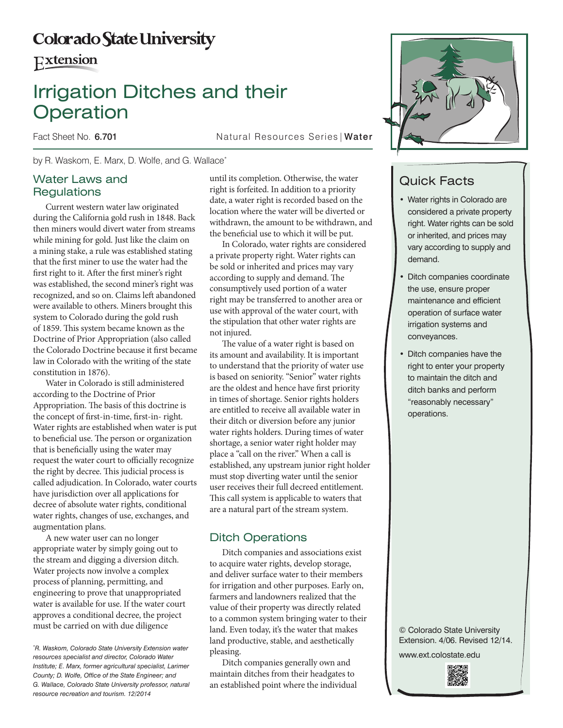# **Colorado State University**

**Extension** 

# Irrigation Ditches and their **Operation**

Fact Sheet No. 6.701 **Natural Resources Series | Water** 

by R. Waskom, E. Marx, D. Wolfe, and G. Wallace\*

## Water Laws and **Regulations**

Current western water law originated during the California gold rush in 1848. Back then miners would divert water from streams while mining for gold. Just like the claim on a mining stake, a rule was established stating that the first miner to use the water had the first right to it. After the first miner's right was established, the second miner's right was recognized, and so on. Claims left abandoned were available to others. Miners brought this system to Colorado during the gold rush of 1859. This system became known as the Doctrine of Prior Appropriation (also called the Colorado Doctrine because it first became law in Colorado with the writing of the state constitution in 1876).

Water in Colorado is still administered according to the Doctrine of Prior Appropriation. The basis of this doctrine is the concept of first-in-time, first-in- right. Water rights are established when water is put to beneficial use. The person or organization that is beneficially using the water may request the water court to officially recognize the right by decree. This judicial process is called adjudication. In Colorado, water courts have jurisdiction over all applications for decree of absolute water rights, conditional water rights, changes of use, exchanges, and augmentation plans.

A new water user can no longer appropriate water by simply going out to the stream and digging a diversion ditch. Water projects now involve a complex process of planning, permitting, and engineering to prove that unappropriated water is available for use. If the water court approves a conditional decree, the project must be carried on with due diligence

until its completion. Otherwise, the water right is forfeited. In addition to a priority date, a water right is recorded based on the location where the water will be diverted or withdrawn, the amount to be withdrawn, and the beneficial use to which it will be put.

In Colorado, water rights are considered a private property right. Water rights can be sold or inherited and prices may vary according to supply and demand. The consumptively used portion of a water right may be transferred to another area or use with approval of the water court, with the stipulation that other water rights are not injured.

The value of a water right is based on its amount and availability. It is important to understand that the priority of water use is based on seniority. "Senior" water rights are the oldest and hence have first priority in times of shortage. Senior rights holders are entitled to receive all available water in their ditch or diversion before any junior water rights holders. During times of water shortage, a senior water right holder may place a "call on the river." When a call is established, any upstream junior right holder must stop diverting water until the senior user receives their full decreed entitlement. This call system is applicable to waters that are a natural part of the stream system.

## Ditch Operations

Ditch companies and associations exist to acquire water rights, develop storage, and deliver surface water to their members for irrigation and other purposes. Early on, farmers and landowners realized that the value of their property was directly related to a common system bringing water to their land. Even today, it's the water that makes land productive, stable, and aesthetically pleasing.

Ditch companies generally own and maintain ditches from their headgates to an established point where the individual



## Quick Facts

- Water rights in Colorado are considered a private property right. Water rights can be sold or inherited, and prices may vary according to supply and demand.
- Ditch companies coordinate the use, ensure proper maintenance and efficient operation of surface water irrigation systems and conveyances.
- Ditch companies have the right to enter your property to maintain the ditch and ditch banks and perform "reasonably necessary" operations.

© Colorado State University Extension. 4/06. Revised 12/14.

www.ext.colostate.edu



*<sup>\*</sup> R. Waskom, Colorado State University Extension water resources specialist and director, Colorado Water Institute; E. Marx, former agricultural specialist, Larimer County; D. Wolfe, Office of the State Engineer; and G. Wallace, Colorado State University professor, natural resource recreation and tourism. 12/2014*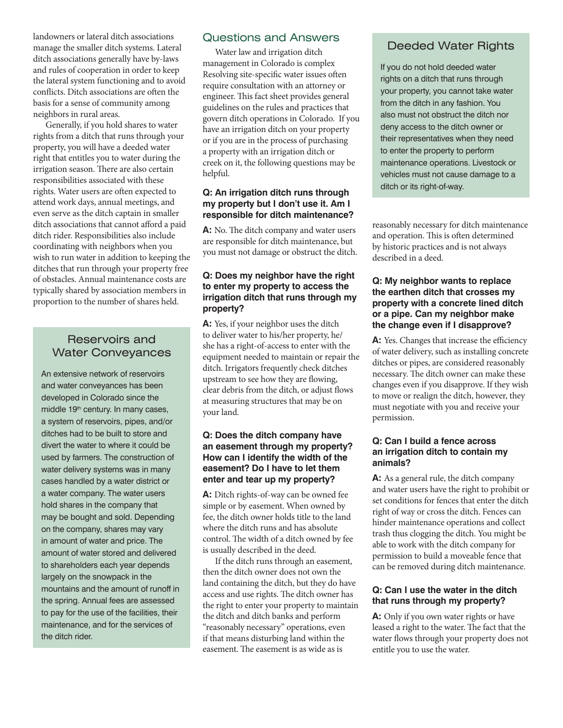landowners or lateral ditch associations manage the smaller ditch systems. Lateral ditch associations generally have by-laws and rules of cooperation in order to keep the lateral system functioning and to avoid conflicts. Ditch associations are often the basis for a sense of community among neighbors in rural areas.

Generally, if you hold shares to water rights from a ditch that runs through your property, you will have a deeded water right that entitles you to water during the irrigation season. There are also certain responsibilities associated with these rights. Water users are often expected to attend work days, annual meetings, and even serve as the ditch captain in smaller ditch associations that cannot afford a paid ditch rider. Responsibilities also include coordinating with neighbors when you wish to run water in addition to keeping the ditches that run through your property free of obstacles. Annual maintenance costs are typically shared by association members in proportion to the number of shares held.

## Reservoirs and Water Conveyances

An extensive network of reservoirs and water conveyances has been developed in Colorado since the middle 19<sup>th</sup> century. In many cases, a system of reservoirs, pipes, and/or ditches had to be built to store and divert the water to where it could be used by farmers. The construction of water delivery systems was in many cases handled by a water district or a water company. The water users hold shares in the company that may be bought and sold. Depending on the company, shares may vary in amount of water and price. The amount of water stored and delivered to shareholders each year depends largely on the snowpack in the mountains and the amount of runoff in the spring. Annual fees are assessed to pay for the use of the facilities, their maintenance, and for the services of the ditch rider.

## Questions and Answers

Water law and irrigation ditch management in Colorado is complex Resolving site-specific water issues often require consultation with an attorney or engineer. This fact sheet provides general guidelines on the rules and practices that govern ditch operations in Colorado. If you have an irrigation ditch on your property or if you are in the process of purchasing a property with an irrigation ditch or creek on it, the following questions may be helpful.

#### **Q: An irrigation ditch runs through my property but I don't use it. Am I responsible for ditch maintenance?**

**A:** No. The ditch company and water users are responsible for ditch maintenance, but you must not damage or obstruct the ditch.

#### **Q: Does my neighbor have the right to enter my property to access the irrigation ditch that runs through my property?**

**A:** Yes, if your neighbor uses the ditch to deliver water to his/her property, he/ she has a right-of-access to enter with the equipment needed to maintain or repair the ditch. Irrigators frequently check ditches upstream to see how they are flowing, clear debris from the ditch, or adjust flows at measuring structures that may be on your land.

#### **Q: Does the ditch company have an easement through my property? How can I identify the width of the easement? Do I have to let them enter and tear up my property?**

A: Ditch rights-of-way can be owned fee simple or by easement. When owned by fee, the ditch owner holds title to the land where the ditch runs and has absolute control. The width of a ditch owned by fee is usually described in the deed.

If the ditch runs through an easement, then the ditch owner does not own the land containing the ditch, but they do have access and use rights. The ditch owner has the right to enter your property to maintain the ditch and ditch banks and perform "reasonably necessary" operations, even if that means disturbing land within the easement. The easement is as wide as is

## Deeded Water Rights

If you do not hold deeded water rights on a ditch that runs through your property, you cannot take water from the ditch in any fashion. You also must not obstruct the ditch nor deny access to the ditch owner or their representatives when they need to enter the property to perform maintenance operations. Livestock or vehicles must not cause damage to a ditch or its right-of-way.

reasonably necessary for ditch maintenance and operation. This is often determined by historic practices and is not always described in a deed.

#### **Q: My neighbor wants to replace the earthen ditch that crosses my property with a concrete lined ditch or a pipe. Can my neighbor make the change even if I disapprove?**

A: Yes. Changes that increase the efficiency of water delivery, such as installing concrete ditches or pipes, are considered reasonably necessary. The ditch owner can make these changes even if you disapprove. If they wish to move or realign the ditch, however, they must negotiate with you and receive your permission.

#### **Q: Can I build a fence across an irrigation ditch to contain my animals?**

A: As a general rule, the ditch company and water users have the right to prohibit or set conditions for fences that enter the ditch right of way or cross the ditch. Fences can hinder maintenance operations and collect trash thus clogging the ditch. You might be able to work with the ditch company for permission to build a moveable fence that can be removed during ditch maintenance.

#### **Q: Can I use the water in the ditch that runs through my property?**

**A:** Only if you own water rights or have leased a right to the water. The fact that the water flows through your property does not entitle you to use the water.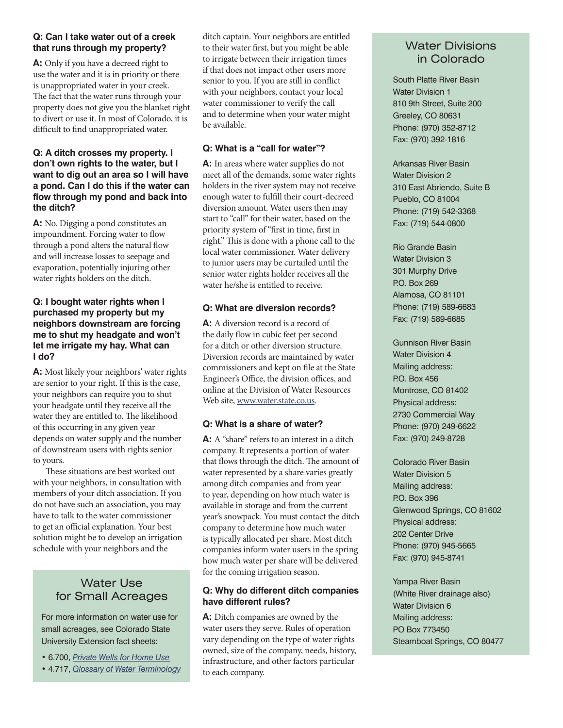#### **Q: Can I take water out of a creek that runs through my property?**

**A:** Only if you have a decreed right to use the water and it is in priority or there is unappropriated water in your creek. The fact that the water runs through your property does not give you the blanket right to divert or use it. In most of Colorado, it is difficult to find unappropriated water.

#### **Q: A ditch crosses my property. I don't own rights to the water, but I want to dig out an area so I will have a pond. Can I do this if the water can flow through my pond and back into the ditch?**

**A:** No. Digging a pond constitutes an impoundment. Forcing water to flow through a pond alters the natural flow and will increase losses to seepage and evaporation, potentially injuring other water rights holders on the ditch.

#### **Q: I bought water rights when I purchased my property but my neighbors downstream are forcing me to shut my headgate and won't let me irrigate my hay. What can I do?**

**A:** Most likely your neighbors' water rights are senior to your right. If this is the case, your neighbors can require you to shut your headgate until they receive all the water they are entitled to. The likelihood of this occurring in any given year depends on water supply and the number of downstream users with rights senior to yours.

These situations are best worked out with your neighbors, in consultation with members of your ditch association. If you do not have such an association, you may have to talk to the water commissioner to get an official explanation. Your best solution might be to develop an irrigation schedule with your neighbors and the

## Water Use for Small Acreages

For more information on water use for small acreages, see Colorado State University Extension fact sheets:

• 6.700, *Private Wells for Home Use* • 4.717, *Glossary of Water Terminology* ditch captain. Your neighbors are entitled to their water first, but you might be able to irrigate between their irrigation times if that does not impact other users more senior to you. If you are still in conflict with your neighbors, contact your local water commissioner to verify the call and to determine when your water might be available.

## **Q: What is a "call for water"?**

A: In areas where water supplies do not meet all of the demands, some water rights holders in the river system may not receive enough water to fulfill their court-decreed diversion amount. Water users then may start to "call" for their water, based on the priority system of "first in time, first in right." This is done with a phone call to the local water commissioner. Water delivery to junior users may be curtailed until the senior water rights holder receives all the water he/she is entitled to receive.

## **Q: What are diversion records?**

**A:** A diversion record is a record of the daily flow in cubic feet per second for a ditch or other diversion structure. Diversion records are maintained by water commissioners and kept on file at the State Engineer's Office, the division offices, and online at the Division of Water Resources Web site, www.water.state.co.us.

## **Q: What is a share of water?**

**A:** A "share" refers to an interest in a ditch company. It represents a portion of water that flows through the ditch. The amount of water represented by a share varies greatly among ditch companies and from year to year, depending on how much water is available in storage and from the current year's snowpack. You must contact the ditch company to determine how much water is typically allocated per share. Most ditch companies inform water users in the spring how much water per share will be delivered for the coming irrigation season.

#### **Q: Why do different ditch companies have different rules?**

A: Ditch companies are owned by the water users they serve. Rules of operation vary depending on the type of water rights owned, size of the company, needs, history, infrastructure, and other factors particular to each company.

## Water Divisions in Colorado

South Platte River Basin Water Division 1 810 9th Street, Suite 200 Greeley, CO 80631 Phone: (970) 352-8712 Fax: (970) 392-1816

Arkansas River Basin Water Division 2 310 East Abriendo, Suite B Pueblo, CO 81004 Phone: (719) 542-3368 Fax: (719) 544-0800

Rio Grande Basin Water Division 3 301 Murphy Drive P.O. Box 269 Alamosa, CO 81101 Phone: (719) 589-6683 Fax: (719) 589-6685

Gunnison River Basin Water Division 4 Mailing address: P.O. Box 456 Montrose, CO 81402 Physical address: 2730 Commercial Way Phone: (970) 249-6622 Fax: (970) 249-8728

Colorado River Basin Water Division 5 Mailing address: P.O. Box 396 Glenwood Springs, CO 81602 Physical address: 202 Center Drive Phone: (970) 945-5665 Fax: (970) 945-8741

Yampa River Basin (White River drainage also) Water Division 6 Mailing address: PO Box 773450 Steamboat Springs, CO 80477